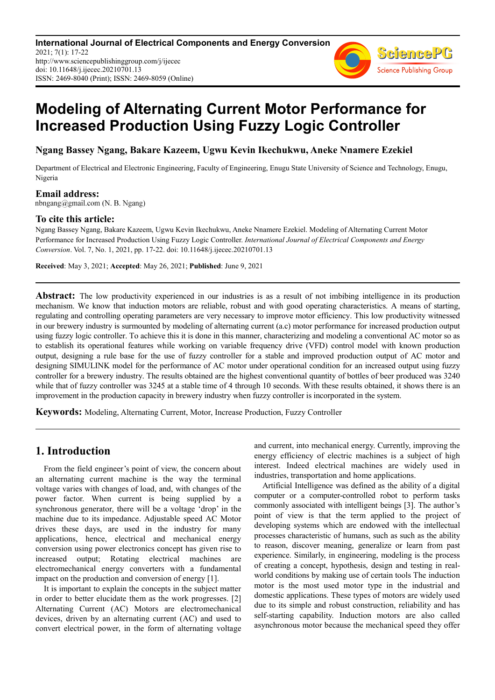**International Journal of Electrical Components and Energy Conversion** 2021; 7(1): 17-22 http://www.sciencepublishinggroup.com/j/ijecec doi: 10.11648/j.ijecec.20210701.13 ISSN: 2469-8040 (Print); ISSN: 2469-8059 (Online)



# **Modeling of Alternating Current Motor Performance for Increased Production Using Fuzzy Logic Controller**

**Ngang Bassey Ngang, Bakare Kazeem, Ugwu Kevin Ikechukwu, Aneke Nnamere Ezekiel** 

Department of Electrical and Electronic Engineering, Faculty of Engineering, Enugu State University of Science and Technology, Enugu, Nigeria

**Email address:**<br>nbngang@gmail.com (N. B. Ngang)

### **To cite this article:**

Ngang Bassey Ngang, Bakare Kazeem, Ugwu Kevin Ikechukwu, Aneke Nnamere Ezekiel. Modeling of Alternating Current Motor Performance for Increased Production Using Fuzzy Logic Controller. *International Journal of Electrical Components and Energy Conversion*. Vol. 7, No. 1, 2021, pp. 17-22. doi: 10.11648/j.ijecec.20210701.13

**Received**: May 3, 2021; **Accepted**: May 26, 2021; **Published**: June 9, 2021

**Abstract:** The low productivity experienced in our industries is as a result of not imbibing intelligence in its production mechanism. We know that induction motors are reliable, robust and with good operating characteristics. A means of starting, regulating and controlling operating parameters are very necessary to improve motor efficiency. This low productivity witnessed in our brewery industry is surmounted by modeling of alternating current (a.c) motor performance for increased production output using fuzzy logic controller. To achieve this it is done in this manner, characterizing and modeling a conventional AC motor so as to establish its operational features while working on variable frequency drive (VFD) control model with known production output, designing a rule base for the use of fuzzy controller for a stable and improved production output of AC motor and designing SIMULINK model for the performance of AC motor under operational condition for an increased output using fuzzy controller for a brewery industry. The results obtained are the highest conventional quantity of bottles of beer produced was 3240 while that of fuzzy controller was 3245 at a stable time of 4 through 10 seconds. With these results obtained, it shows there is an improvement in the production capacity in brewery industry when fuzzy controller is incorporated in the system.

**Keywords:** Modeling, Alternating Current, Motor, Increase Production, Fuzzy Controller

# **1. Introduction**

From the field engineer's point of view, the concern about an alternating current machine is the way the terminal voltage varies with changes of load, and, with changes of the power factor. When current is being supplied by a synchronous generator, there will be a voltage 'drop' in the machine due to its impedance. Adjustable speed AC Motor drives these days, are used in the industry for many applications, hence, electrical and mechanical energy conversion using power electronics concept has given rise to increased output; Rotating electrical machines are electromechanical energy converters with a fundamental impact on the production and conversion of energy [1].

It is important to explain the concepts in the subject matter in order to better elucidate them as the work progresses. [2] Alternating Current (AC) Motors are electromechanical devices, driven by an alternating current (AC) and used to convert electrical power, in the form of alternating voltage and current, into mechanical energy. Currently, improving the energy efficiency of electric machines is a subject of high interest. Indeed electrical machines are widely used in industries, transportation and home applications.

Artificial Intelligence was defined as the ability of a digital computer or a computer-controlled robot to perform tasks commonly associated with intelligent beings [3]. The author's point of view is that the term applied to the project of developing systems which are endowed with the intellectual processes characteristic of humans, such as such as the ability to reason, discover meaning, generalize or learn from past experience. Similarly, in engineering, modeling is the process of creating a concept, hypothesis, design and testing in realworld conditions by making use of certain tools The induction motor is the most used motor type in the industrial and domestic applications. These types of motors are widely used due to its simple and robust construction, reliability and has self-starting capability. Induction motors are also called asynchronous motor because the mechanical speed they offer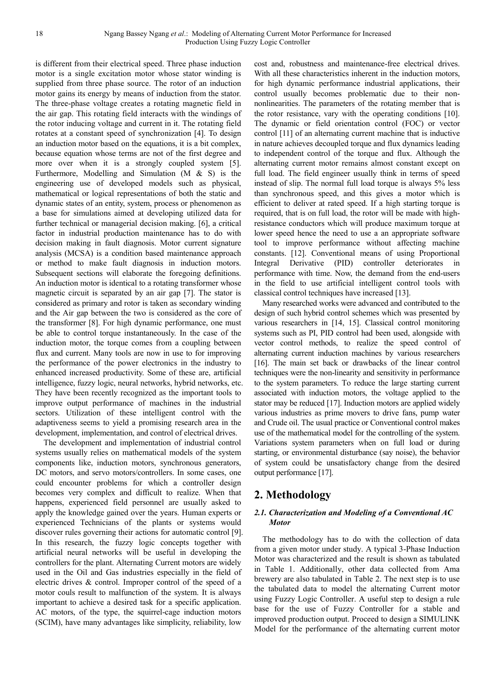is different from their electrical speed. Three phase induction motor is a single excitation motor whose stator winding is supplied from three phase source. The rotor of an induction motor gains its energy by means of induction from the stator. The three-phase voltage creates a rotating magnetic field in the air gap. This rotating field interacts with the windings of the rotor inducing voltage and current in it. The rotating field rotates at a constant speed of synchronization [4]. To design an induction motor based on the equations, it is a bit complex, because equation whose terms are not of the first degree and more over when it is a strongly coupled system [5]. Furthermore, Modelling and Simulation (M & S) is the engineering use of developed models such as physical, mathematical or logical representations of both the static and dynamic states of an entity, system, process or phenomenon as a base for simulations aimed at developing utilized data for further technical or managerial decision making. [6], a critical factor in industrial production maintenance has to do with decision making in fault diagnosis. Motor current signature analysis (MCSA) is a condition based maintenance approach or method to make fault diagnosis in induction motors. Subsequent sections will elaborate the foregoing definitions. An induction motor is identical to a rotating transformer whose magnetic circuit is separated by an air gap [7]. The stator is considered as primary and rotor is taken as secondary winding and the Air gap between the two is considered as the core of the transformer [8]. For high dynamic performance, one must be able to control torque instantaneously. In the case of the induction motor, the torque comes from a coupling between flux and current. Many tools are now in use to for improving the performance of the power electronics in the industry to enhanced increased productivity. Some of these are, artificial intelligence, fuzzy logic, neural networks, hybrid networks, etc. They have been recently recognized as the important tools to improve output performance of machines in the industrial sectors. Utilization of these intelligent control with the adaptiveness seems to yield a promising research area in the development, implementation, and control of electrical drives.

The development and implementation of industrial control systems usually relies on mathematical models of the system components like, induction motors, synchronous generators, DC motors, and servo motors/controllers. In some cases, one could encounter problems for which a controller design becomes very complex and difficult to realize. When that happens, experienced field personnel are usually asked to apply the knowledge gained over the years. Human experts or experienced Technicians of the plants or systems would discover rules governing their actions for automatic control [9]. In this research, the fuzzy logic concepts together with artificial neural networks will be useful in developing the controllers for the plant. Alternating Current motors are widely used in the Oil and Gas industries especially in the field of electric drives & control. Improper control of the speed of a motor couls result to malfunction of the system. It is always important to achieve a desired task for a specific application. AC motors, of the type, the squirrel-cage induction motors (SCIM), have many advantages like simplicity, reliability, low

cost and, robustness and maintenance-free electrical drives. With all these characteristics inherent in the induction motors, for high dynamic performance industrial applications, their control usually becomes problematic due to their nonnonlinearities. The parameters of the rotating member that is the rotor resistance, vary with the operating conditions [10]. The dynamic or field orientation control (FOC) or vector control [11] of an alternating current machine that is inductive in nature achieves decoupled torque and flux dynamics leading to independent control of the torque and flux. Although the alternating current motor remains almost constant except on full load. The field engineer usually think in terms of speed instead of slip. The normal full load torque is always 5% less than synchronous speed, and this gives a motor which is efficient to deliver at rated speed. If a high starting torque is required, that is on full load, the rotor will be made with highresistance conductors which will produce maximum torque at lower speed hence the need to use a an appropriate software tool to improve performance without affecting machine constants. [12]. Conventional means of using Proportional Integral Derivative (PID) controller deteriorates in performance with time. Now, the demand from the end-users in the field to use artificial intelligent control tools with classical control techniques have increased [13].

Many researched works were advanced and contributed to the design of such hybrid control schemes which was presented by various researchers in [14, 15]. Classical control monitoring systems such as PI, PID control had been used, alongside with vector control methods, to realize the speed control of alternating current induction machines by various researchers [16]. The main set back or drawbacks of the linear control techniques were the non-linearity and sensitivity in performance to the system parameters. To reduce the large starting current associated with induction motors, the voltage applied to the stator may be reduced [17]. Induction motors are applied widely various industries as prime movers to drive fans, pump water and Crude oil. The usual practice or Conventional control makes use of the mathematical model for the controlling of the system. Variations system parameters when on full load or during starting, or environmental disturbance (say noise), the behavior of system could be unsatisfactory change from the desired output performance [17].

# **2. Methodology**

#### *2.1. Characterization and Modeling of a Conventional AC Motor*

The methodology has to do with the collection of data from a given motor under study. A typical 3-Phase Induction Motor was characterized and the result is shown as tabulated in Table 1. Additionally, other data collected from Ama brewery are also tabulated in Table 2. The next step is to use the tabulated data to model the alternating Current motor using Fuzzy Logic Controller. A useful step to design a rule base for the use of Fuzzy Controller for a stable and improved production output. Proceed to design a SIMULINK Model for the performance of the alternating current motor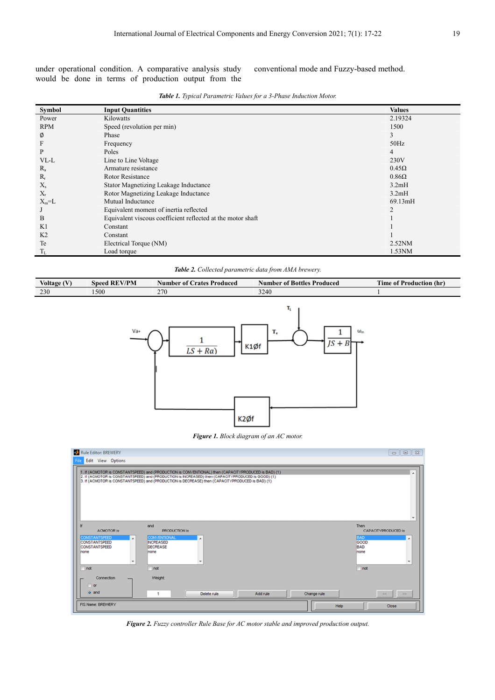under operational condition. A comparative analysis study would be done in terms of production output from the conventional mode and Fuzzy-based method.

| Symbol         | <b>Input Quantities</b>                                     | <b>Values</b>  |
|----------------|-------------------------------------------------------------|----------------|
| Power          | Kilowatts                                                   | 2.19324        |
| <b>RPM</b>     | Speed (revolution per min)                                  | 1500           |
| Ø              | Phase                                                       | 3              |
| F              | Frequency                                                   | 50Hz           |
| P              | Poles                                                       | 4              |
| VL-L           | Line to Line Voltage                                        | 230V           |
| $R_a$          | Armature resistance                                         | $0.45\Omega$   |
| $R_r$          | Rotor Resistance                                            | $0.86\Omega$   |
| $X_{s}$        | Stator Magnetizing Leakage Inductance                       | 3.2mH          |
| $X_{r}$        | Rotor Magnetizing Leakage Inductance                        | 3.2mH          |
| $X_m = L$      | Mutual Inductance                                           | 69.13mH        |
|                | Equivalent moment of inertia reflected                      | $\overline{2}$ |
| B              | Equivalent viscous coefficient reflected at the motor shaft |                |
| K1             | Constant                                                    |                |
| K <sub>2</sub> | Constant                                                    |                |
| Te             | Electrical Torque (NM)                                      | $2.52$ NM      |
| $T_{L}$        | Load torque                                                 | 1.53NM         |

*Table 1. Typical Parametric Values for a 3-Phase Induction Motor.* 

*Table 2. Collected parametric data from AMA brewery.* 

| Voltage (V) | <b>Speed REV/PM</b> | <b>Number of Crates Produced</b> | <b>Number of Bottles Produced</b>            | <b>Time of Production (hr)</b> |
|-------------|---------------------|----------------------------------|----------------------------------------------|--------------------------------|
| 230         | 1500                | 270                              | 3240                                         |                                |
|             | Va+                 | $LS + Ra$                        | T,<br>T,<br>$\omega_{m}$<br>$JS + B$<br>K1Øf |                                |

*Figure 1. Block diagram of an AC motor.* 

K<sub>2</sub>øf

| Rule Editor: BREWERY                                                                                                                          |                                                                                                                                                                                                                                                                                                                | $\mathbb{Z}$<br>$\begin{array}{c c c c c} \hline \multicolumn{3}{c }{\textbf{0}} & \multicolumn{3}{c }{\textbf{0}} \\\hline \multicolumn{3}{c }{\textbf{0}} & \multicolumn{3}{c }{\textbf{0}} \end{array}$ |
|-----------------------------------------------------------------------------------------------------------------------------------------------|----------------------------------------------------------------------------------------------------------------------------------------------------------------------------------------------------------------------------------------------------------------------------------------------------------------|------------------------------------------------------------------------------------------------------------------------------------------------------------------------------------------------------------|
| Edit View Options<br>File                                                                                                                     |                                                                                                                                                                                                                                                                                                                |                                                                                                                                                                                                            |
|                                                                                                                                               | 1. If (ACMOTOR is CONSTANTSPEED) and (PRODUCTION is CONVENTIONAL) then (CAPACITYPRODUCED is BAD) (1)<br>2. If (ACMOTOR is CONSTANTSPEED) and (PRODUCTION is INCREASED) then (CAPACITYPRODUCED is GOOD) (1)<br>3. If (ACMOTOR is CONSTANTSPEED) and (PRODUCTION is DECREASE) then (CAPACITYPRODUCED is BAD) (1) | ۰                                                                                                                                                                                                          |
| If                                                                                                                                            | and                                                                                                                                                                                                                                                                                                            | Then                                                                                                                                                                                                       |
| <b>ACMOTOR</b> is<br><b>CONSTANTSPEED</b><br>$\overline{a}$<br><b>CONSTANTSPEED</b><br><b>CONSTANTSPEED</b><br>Inone<br>$\cdot$<br>$\Box$ not | <b>PRODUCTION is</b><br><b>CONVENTIONAL</b><br><b>INCREASED</b><br>DECREASE<br>Inone<br>not                                                                                                                                                                                                                    | CAPACITYPRODUCED is<br><b>BAD</b><br>A<br>GOOD<br><b>BAD</b><br>none<br>$\overline{\phantom{a}}$<br>not                                                                                                    |
| Connection<br>$\bigcirc$ or<br>o and                                                                                                          | Weight:<br>Delete rule<br>Add rule<br>1                                                                                                                                                                                                                                                                        | Change rule<br>>><br>$<<$                                                                                                                                                                                  |
| FIS Name: BREWERY                                                                                                                             |                                                                                                                                                                                                                                                                                                                | Help<br>Close                                                                                                                                                                                              |

*Figure 2. Fuzzy controller Rule Base for AC motor stable and improved production output.*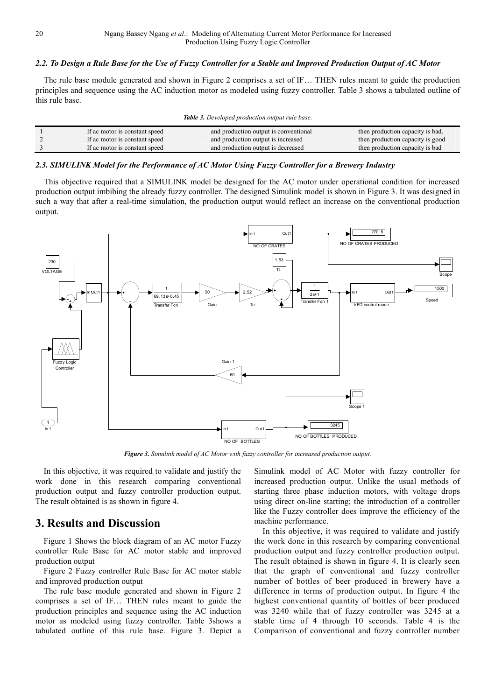#### *2.2. To Design a Rule Base for the Use of Fuzzy Controller for a Stable and Improved Production Output of AC Motor*

The rule base module generated and shown in Figure 2 comprises a set of IF… THEN rules meant to guide the production principles and sequence using the AC induction motor as modeled using fuzzy controller. Table 3 shows a tabulated outline of this rule base.

| Table 3. Developed production output rule base. |  |  |
|-------------------------------------------------|--|--|
|-------------------------------------------------|--|--|

| If ac motor is constant speed | and production output is conventional | then production capacity is bad. |
|-------------------------------|---------------------------------------|----------------------------------|
| If ac motor is constant speed | and production output is increased    | then production capacity is good |
| If ac motor is constant speed | and production output is decreased    | then production capacity is bad  |

#### *2.3. SIMULINK Model for the Performance of AC Motor Using Fuzzy Controller for a Brewery Industry*

This objective required that a SIMULINK model be designed for the AC motor under operational condition for increased production output imbibing the already fuzzy controller. The designed Simulink model is shown in Figure 3. It was designed in such a way that after a real-time simulation, the production output would reflect an increase on the conventional production output.



*Figure 3. Simulink model of AC Motor with fuzzy controller for increased production output.* 

In this objective, it was required to validate and justify the work done in this research comparing conventional production output and fuzzy controller production output. The result obtained is as shown in figure 4.

# **3. Results and Discussion**

Figure 1 Shows the block diagram of an AC motor Fuzzy controller Rule Base for AC motor stable and improved production output

Figure 2 Fuzzy controller Rule Base for AC motor stable and improved production output

The rule base module generated and shown in Figure 2 comprises a set of IF… THEN rules meant to guide the production principles and sequence using the AC induction motor as modeled using fuzzy controller. Table 3shows a tabulated outline of this rule base. Figure 3. Depict a Simulink model of AC Motor with fuzzy controller for increased production output. Unlike the usual methods of starting three phase induction motors, with voltage drops using direct on-line starting; the introduction of a controller like the Fuzzy controller does improve the efficiency of the machine performance.

In this objective, it was required to validate and justify the work done in this research by comparing conventional production output and fuzzy controller production output. The result obtained is shown in figure 4. It is clearly seen that the graph of conventional and fuzzy controller number of bottles of beer produced in brewery have a difference in terms of production output. In figure 4 the highest conventional quantity of bottles of beer produced was 3240 while that of fuzzy controller was 3245 at a stable time of 4 through 10 seconds. Table 4 is the Comparison of conventional and fuzzy controller number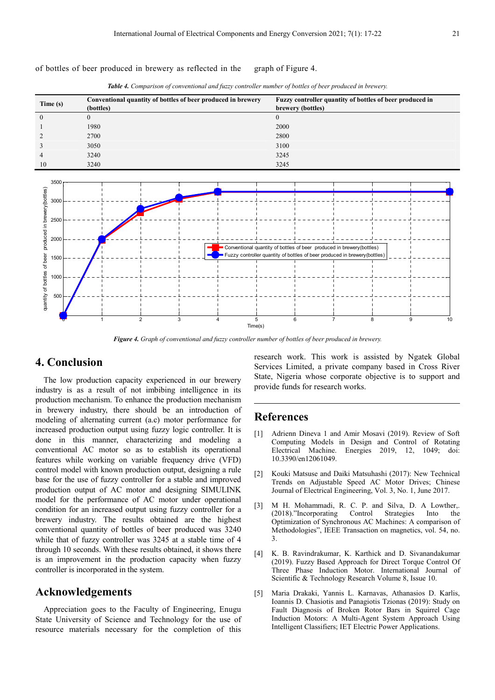of bottles of beer produced in brewery as reflected in the graph of Figure 4.



*Table 4. Comparison of conventional and fuzzy controller number of bottles of beer produced in brewery.* 

*Figure 4. Graph of conventional and fuzzy controller number of bottles of beer produced in brewery.* 

# **4. Conclusion**

The low production capacity experienced in our brewery industry is as a result of not imbibing intelligence in its production mechanism. To enhance the production mechanism in brewery industry, there should be an introduction of modeling of alternating current (a.c) motor performance for increased production output using fuzzy logic controller. It is done in this manner, characterizing and modeling a conventional AC motor so as to establish its operational features while working on variable frequency drive (VFD) control model with known production output, designing a rule base for the use of fuzzy controller for a stable and improved production output of AC motor and designing SIMULINK model for the performance of AC motor under operational condition for an increased output using fuzzy controller for a brewery industry. The results obtained are the highest conventional quantity of bottles of beer produced was 3240 while that of fuzzy controller was 3245 at a stable time of 4 through 10 seconds. With these results obtained, it shows there is an improvement in the production capacity when fuzzy controller is incorporated in the system.

## **Acknowledgements**

Appreciation goes to the Faculty of Engineering, Enugu State University of Science and Technology for the use of resource materials necessary for the completion of this research work. This work is assisted by Ngatek Global Services Limited, a private company based in Cross River State, Nigeria whose corporate objective is to support and provide funds for research works.

# **References**

- [1] Adrienn Dineva 1 and Amir Mosavi (2019). Review of Soft Computing Models in Design and Control of Rotating<br>Electrical Machine. Energies 2019, 12, 1049; doi: Energies 2019, 12, 1049; doi: 10.3390/en12061049.
- [2] Kouki Matsuse and Daiki Matsuhashi (2017): New Technical Trends on Adjustable Speed AC Motor Drives; Chinese Journal of Electrical Engineering, Vol. 3, No. 1, June 2017.
- [3] M H. Mohammadi, R. C. P. and Silva, D. A Lowther,. (2018)."Incorporating Control Strategies Into the Optimization of Synchronous AC Machines: A comparison of Methodologies", IEEE Transaction on magnetics, vol. 54, no. 3.
- [4] K. B. Ravindrakumar, K. Karthick and D. Sivanandakumar (2019). Fuzzy Based Approach for Direct Torque Control Of Three Phase Induction Motor. International Journal of Scientific & Technology Research Volume 8, Issue 10.
- [5] Maria Drakaki, Yannis L. Karnavas, Athanasios D. Karlis, Ioannis D. Chasiotis and Panagiotis Tzionas (2019): Study on Fault Diagnosis of Broken Rotor Bars in Squirrel Cage Induction Motors: A Multi-Agent System Approach Using Intelligent Classifiers; IET Electric Power Applications.